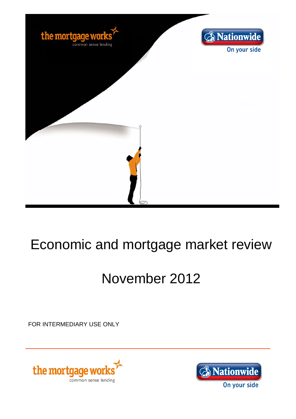

## Economic and mortgage market review

# November 2012

FOR INTERMEDIARY USE ONLY



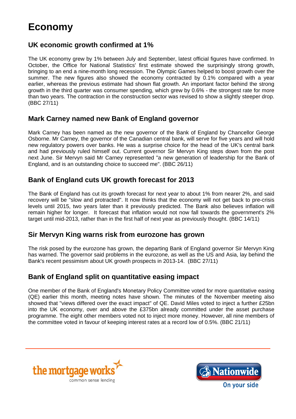### **Economy**

#### **UK economic growth confirmed at 1%**

The UK economy grew by 1% between July and September, latest official figures have confirmed. In October, the Office for National Statistics' first estimate showed the surprisingly strong growth, bringing to an end a nine-month long recession. The Olympic Games helped to boost growth over the summer. The new figures also showed the economy contracted by 0.1% compared with a year earlier, whereas the previous estimate had shown flat growth. An important factor behind the strong growth in the third quarter was consumer spending, which grew by 0.6% - the strongest rate for more than two years. The contraction in the construction sector was revised to show a slightly steeper drop. (BBC 27/11)

#### **Mark Carney named new Bank of England governor**

Mark Carney has been named as the new governor of the Bank of England by Chancellor George Osborne. Mr Carney, the governor of the Canadian central bank, will serve for five years and will hold new regulatory powers over banks. He was a surprise choice for the head of the UK's central bank and had previously ruled himself out. Current governor Sir Mervyn King steps down from the post next June. Sir Mervyn said Mr Carney represented "a new generation of leadership for the Bank of England, and is an outstanding choice to succeed me". (BBC 26/11)

#### **Bank of England cuts UK growth forecast for 2013**

The Bank of England has cut its growth forecast for next year to about 1% from nearer 2%, and said recovery will be "slow and protracted". It now thinks that the economy will not get back to pre-crisis levels until 2015, two years later than it previously predicted. The Bank also believes inflation will remain higher for longer. It forecast that inflation would not now fall towards the government's 2% target until mid-2013, rather than in the first half of next year as previously thought. (BBC 14/11)

#### **Sir Mervyn King warns risk from eurozone has grown**

The risk posed by the eurozone has grown, the departing Bank of England governor Sir Mervyn King has warned. The governor said problems in the eurozone, as well as the US and Asia, lay behind the Bank's recent pessimism about UK growth prospects in 2013-14. (BBC 27/11)

#### **Bank of England split on quantitative easing impact**

One member of the Bank of England's Monetary Policy Committee voted for more quantitative easing (QE) earlier this month, meeting notes have shown. The minutes of the November meeting also showed that "views differed over the exact impact" of QE. David Miles voted to inject a further £25bn into the UK economy, over and above the £375bn already committed under the asset purchase programme. The eight other members voted not to inject more money. However, all nine members of the committee voted in favour of keeping interest rates at a record low of 0.5%. (BBC 21/11)



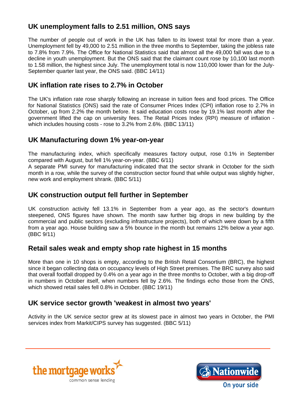#### **UK unemployment falls to 2.51 million, ONS says**

The number of people out of work in the UK has fallen to its lowest total for more than a year. Unemployment fell by 49,000 to 2.51 million in the three months to September, taking the jobless rate to 7.8% from 7.9%. The Office for National Statistics said that almost all the 49,000 fall was due to a decline in youth unemployment. But the ONS said that the claimant count rose by 10,100 last month to 1.58 million, the highest since July. The unemployment total is now 110,000 lower than for the July-September quarter last year, the ONS said. (BBC 14/11)

#### **UK inflation rate rises to 2.7% in October**

The UK's inflation rate rose sharply following an increase in tuition fees and food prices. The Office for National Statistics (ONS) said the rate of Consumer Prices Index (CPI) inflation rose to 2.7% in October, up from 2.2% the month before. It said education costs rose by 19.1% last month after the government lifted the cap on university fees. The Retail Prices Index (RPI) measure of inflation which includes housing costs - rose to 3.2% from 2.6%. (BBC 13/11)

#### **UK Manufacturing down 1% year-on-year**

The manufacturing index, which specifically measures factory output, rose 0.1% in September compared with August, but fell 1% year-on-year. (BBC 6/11)

A separate PMI survey for manufacturing indicated that the sector shrank in October for the sixth month in a row, while the survey of the construction sector found that while output was slightly higher, new work and employment shrank. (BBC 5/11)

#### **UK construction output fell further in September**

UK construction activity fell 13.1% in September from a year ago, as the sector's downturn steepened, ONS figures have shown. The month saw further big drops in new building by the commercial and public sectors (excluding infrastructure projects), both of which were down by a fifth from a year ago. House building saw a 5% bounce in the month but remains 12% below a year ago. (BBC 9/11)

#### **Retail sales weak and empty shop rate highest in 15 months**

More than one in 10 shops is empty, according to the British Retail Consortium (BRC), the highest since it began collecting data on occupancy levels of High Street premises. The BRC survey also said that overall footfall dropped by 0.4% on a year ago in the three months to October, with a big drop-off in numbers in October itself, when numbers fell by 2.6%. The findings echo those from the ONS, which showed retail sales fell 0.8% in October. (BBC 19/11)

#### **UK service sector growth 'weakest in almost two years'**

Activity in the UK service sector grew at its slowest pace in almost two years in October, the PMI services index from Markit/CIPS survey has suggested. (BBC 5/11)



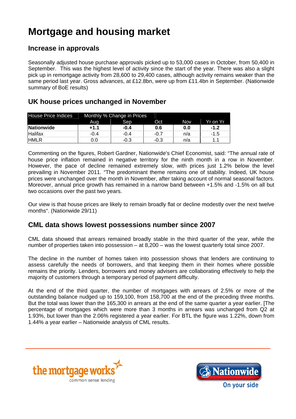## **Mortgage and housing market**

#### **Increase in approvals**

Seasonally adjusted house purchase approvals picked up to 53,000 cases in October, from 50,400 in September. This was the highest level of activity since the start of the year. There was also a slight pick up in remortgage activity from 28,600 to 29,400 cases, although activity remains weaker than the same period last year. Gross advances, at £12.8bn, were up from £11.4bn in September. (Nationwide summary of BoE results)

#### **UK house prices unchanged in November**

| House Price Indices | Monthly % Change in Prices |        |        |     |           |
|---------------------|----------------------------|--------|--------|-----|-----------|
|                     | Aug                        | Sep    | Oct    | Nov | 'Yr on Yr |
| Nationwide          | +1.1                       | $-0.4$ | 0.6    | 0.0 | $-1.2$    |
| <b>Halifax</b>      | $-0.4$                     | $-0.4$ | $-0.7$ | n/a | -1.5      |
| <b>HMLR</b>         | 0.0                        | $-0.3$ | -0.3   | n/a |           |

Commenting on the figures, Robert Gardner, Nationwide's Chief Economist, said: "The annual rate of house price inflation remained in negative territory for the ninth month in a row in November. However, the pace of decline remained extremely slow, with prices just 1.2% below the level prevailing in November 2011. "The predominant theme remains one of stability. Indeed, UK house prices were unchanged over the month in November, after taking account of normal seasonal factors. Moreover, annual price growth has remained in a narrow band between +1.5% and -1.5% on all but two occasions over the past two years.

Our view is that house prices are likely to remain broadly flat or decline modestly over the next twelve months". (Nationwide 29/11)

#### **CML data shows lowest possessions number since 2007**

CML data showed that arrears remained broadly stable in the third quarter of the year, while the number of properties taken into possession – at 8,200 – was the lowest quarterly total since 2007.

The decline in the number of homes taken into possession shows that lenders are continuing to assess carefully the needs of borrowers, and that keeping them in their homes where possible remains the priority. Lenders, borrowers and money advisers are collaborating effectively to help the majority of customers through a temporary period of payment difficulty.

At the end of the third quarter, the number of mortgages with arrears of 2.5% or more of the outstanding balance nudged up to 159,100, from 158,700 at the end of the preceding three months. But the total was lower than the 165,300 in arrears at the end of the same quarter a year earlier. [The percentage of mortgages which were more than 3 months in arrears was unchanged from Q2 at 1.93%, but lower than the 2.06% registered a year earlier. For BTL the figure was 1.22%, down from 1.44% a year earlier – Nationwide analysis of CML results.



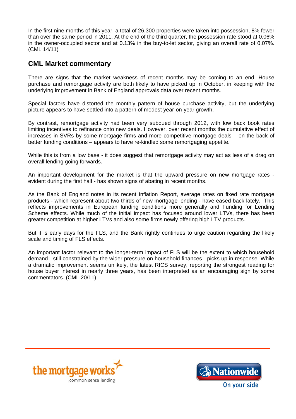In the first nine months of this year, a total of 26,300 properties were taken into possession, 8% fewer than over the same period in 2011. At the end of the third quarter, the possession rate stood at 0.06% in the owner-occupied sector and at 0.13% in the buy-to-let sector, giving an overall rate of 0.07%. (CML 14/11)

#### **CML Market commentary**

There are signs that the market weakness of recent months may be coming to an end. House purchase and remortgage activity are both likely to have picked up in October, in keeping with the underlying improvement in Bank of England approvals data over recent months.

Special factors have distorted the monthly pattern of house purchase activity, but the underlying picture appears to have settled into a pattern of modest year-on-year growth.

By contrast, remortgage activity had been very subdued through 2012, with low back book rates limiting incentives to refinance onto new deals. However, over recent months the cumulative effect of increases in SVRs by some mortgage firms and more competitive mortgage deals – on the back of better funding conditions – appears to have re-kindled some remortgaging appetite.

While this is from a low base - it does suggest that remortgage activity may act as less of a drag on overall lending going forwards.

An important development for the market is that the upward pressure on new mortgage rates evident during the first half - has shown signs of abating in recent months.

As the Bank of England notes in its recent Inflation Report, average rates on fixed rate mortgage products - which represent about two thirds of new mortgage lending - have eased back lately. This reflects improvements in European funding conditions more generally and Funding for Lending Scheme effects. While much of the initial impact has focused around lower LTVs, there has been greater competition at higher LTVs and also some firms newly offering high LTV products.

But it is early days for the FLS, and the Bank rightly continues to urge caution regarding the likely scale and timing of FLS effects.

An important factor relevant to the longer-term impact of FLS will be the extent to which household demand - still constrained by the wider pressure on household finances - picks up in response. While a dramatic improvement seems unlikely, the latest RICS survey, reporting the strongest reading for house buyer interest in nearly three years, has been interpreted as an encouraging sign by some commentators. (CML 20/11)